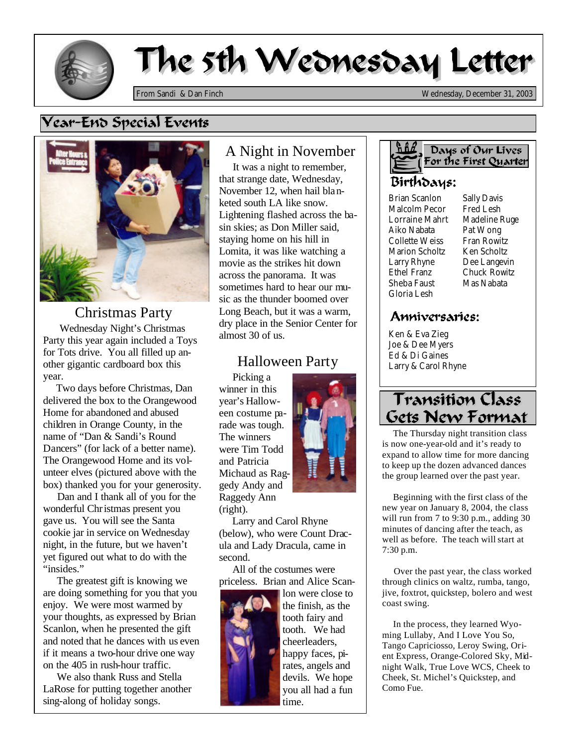

# The 5th Wednesday Letter

*From Sandi & Dan Finch Wednesday, December 31, 2003*

## Vear-Eno Special Events



Christmas Party Wednesday Night's Christmas Party this year again included a Toys for Tots drive. You all filled up another gigantic cardboard box this year.

 Two days before Christmas, Dan delivered the box to the Orangewood Home for abandoned and abused children in Orange County, in the name of "Dan & Sandi's Round Dancers" (for lack of a better name). The Orangewood Home and its volunteer elves (pictured above with the box) thanked you for your generosity.

 Dan and I thank all of you for the wonderful Christmas present you gave us. You will see the Santa cookie jar in service on Wednesday night, in the future, but we haven't yet figured out what to do with the "insides."

 The greatest gift is knowing we are doing something for you that you enjoy. We were most warmed by your thoughts, as expressed by Brian Scanlon, when he presented the gift and noted that he dances with us even if it means a two-hour drive one way on the 405 in rush-hour traffic.

 We also thank Russ and Stella LaRose for putting together another sing-along of holiday songs.

#### A Night in November

 It was a night to remember, that strange date, Wednesday, November 12, when hail blanketed south LA like snow. Lightening flashed across the basin skies; as Don Miller said, staying home on his hill in Lomita, it was like watching a movie as the strikes hit down across the panorama. It was sometimes hard to hear our music as the thunder boomed over Long Beach, but it was a warm, dry place in the Senior Center for almost 30 of us.

## Halloween Party

 Picking a winner in this year's Halloween costume parade was tough. The winners were Tim Todd and Patricia Michaud as Raggedy Andy and Raggedy Ann (right).



 Larry and Carol Rhyne (below), who were Count Dracula and Lady Dracula, came in second.

 All of the costumes were priceless. Brian and Alice Scan-



lon were close to the finish, as the tooth fairy and tooth. We had cheerleaders, happy faces, pirates, angels and devils. We hope you all had a fun time.



#### Days of Our Lives For the First Quarter

#### Birthdays:

Brian Scanlon Malcolm Pecor Lorraine Mahrt Aiko Nabata Collette Weiss Marion Scholtz Larry Rhyne Ethel Franz Sheba Faust Gloria Lesh

Sally Davis Fred Lesh Madeline Ruge Pat Wong Fran Rowitz Ken Scholtz Dee Langevin Chuck Rowitz Mas Nabata

#### Anniversaries:

Ken & Eva Zieg Joe & Dee Myers Ed & Di Gaines Larry & Carol Rhyne

# **Transition Class** Gets New Format

 The Thursday night transition class is now one-year-old and it's ready to expand to allow time for more dancing to keep up the dozen advanced dances the group learned over the past year.

 Beginning with the first class of the new year on January 8, 2004, the class will run from 7 to 9:30 p.m., adding 30 minutes of dancing after the teach, as well as before. The teach will start at 7:30 p.m.

 Over the past year, the class worked through clinics on waltz, rumba, tango, jive, foxtrot, quickstep, bolero and west coast swing.

 In the process, they learned Wyoming Lullaby, And I Love You So, Tango Capriciosso, Leroy Swing, Orient Express, Orange-Colored Sky, Midnight Walk, True Love WCS, Cheek to Cheek, St. Michel's Quickstep, and Como Fue.